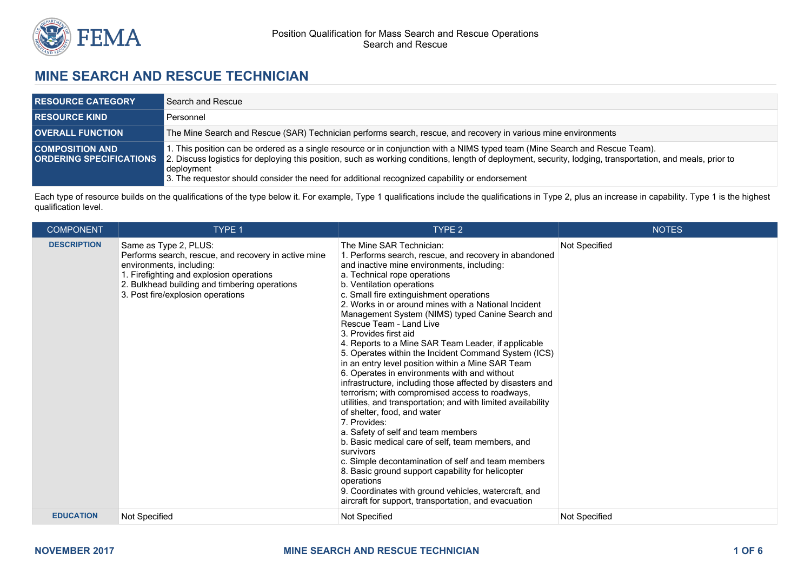

# **MINE SEARCH AND RESCUE TECHNICIAN**

| <b>RESOURCE CATEGORY</b> | Search and Rescue                                                                                                                                                                                                                                                                                                                                                                                                                 |
|--------------------------|-----------------------------------------------------------------------------------------------------------------------------------------------------------------------------------------------------------------------------------------------------------------------------------------------------------------------------------------------------------------------------------------------------------------------------------|
| <b>RESOURCE KIND A</b>   | Personnel                                                                                                                                                                                                                                                                                                                                                                                                                         |
| <b>OVERALL FUNCTION</b>  | The Mine Search and Rescue (SAR) Technician performs search, rescue, and recovery in various mine environments                                                                                                                                                                                                                                                                                                                    |
| <b>COMPOSITION AND</b>   | I. This position can be ordered as a single resource or in conjunction with a NIMS typed team (Mine Search and Rescue Team).<br>ORDERING SPECIFICATIONS 2. Discuss logistics for deploying this position, such as working conditions, length of deployment, security, lodging, transportation, and meals, prior to<br>deployment<br>3. The requestor should consider the need for additional recognized capability or endorsement |

Each type of resource builds on the qualifications of the type below it. For example, Type 1 qualifications include the qualifications in Type 2, plus an increase in capability. Type 1 is the highest qualification level.

| <b>COMPONENT</b>   | <b>TYPE 1</b>                                                                                                                                                                                                                               | TYPE <sub>2</sub>                                                                                                                                                                                                                                                                                                                                                                                                                                                                                                                                                                                                                                                                                                                                                                                                                                                                                                                                                                                                                                                                                                                                                                                          | <b>NOTES</b>  |
|--------------------|---------------------------------------------------------------------------------------------------------------------------------------------------------------------------------------------------------------------------------------------|------------------------------------------------------------------------------------------------------------------------------------------------------------------------------------------------------------------------------------------------------------------------------------------------------------------------------------------------------------------------------------------------------------------------------------------------------------------------------------------------------------------------------------------------------------------------------------------------------------------------------------------------------------------------------------------------------------------------------------------------------------------------------------------------------------------------------------------------------------------------------------------------------------------------------------------------------------------------------------------------------------------------------------------------------------------------------------------------------------------------------------------------------------------------------------------------------------|---------------|
| <b>DESCRIPTION</b> | Same as Type 2, PLUS:<br>Performs search, rescue, and recovery in active mine<br>environments, including:<br>1. Firefighting and explosion operations<br>2. Bulkhead building and timbering operations<br>3. Post fire/explosion operations | The Mine SAR Technician:<br>1. Performs search, rescue, and recovery in abandoned<br>and inactive mine environments, including:<br>a. Technical rope operations<br>b. Ventilation operations<br>c. Small fire extinguishment operations<br>2. Works in or around mines with a National Incident<br>Management System (NIMS) typed Canine Search and<br>Rescue Team - Land Live<br>3. Provides first aid<br>4. Reports to a Mine SAR Team Leader, if applicable<br>5. Operates within the Incident Command System (ICS)<br>in an entry level position within a Mine SAR Team<br>6. Operates in environments with and without<br>infrastructure, including those affected by disasters and<br>terrorism; with compromised access to roadways,<br>utilities, and transportation; and with limited availability<br>of shelter, food, and water<br>7. Provides:<br>a. Safety of self and team members<br>b. Basic medical care of self, team members, and<br>survivors<br>c. Simple decontamination of self and team members<br>8. Basic ground support capability for helicopter<br>operations<br>9. Coordinates with ground vehicles, watercraft, and<br>aircraft for support, transportation, and evacuation | Not Specified |
| <b>EDUCATION</b>   | Not Specified                                                                                                                                                                                                                               | Not Specified                                                                                                                                                                                                                                                                                                                                                                                                                                                                                                                                                                                                                                                                                                                                                                                                                                                                                                                                                                                                                                                                                                                                                                                              | Not Specified |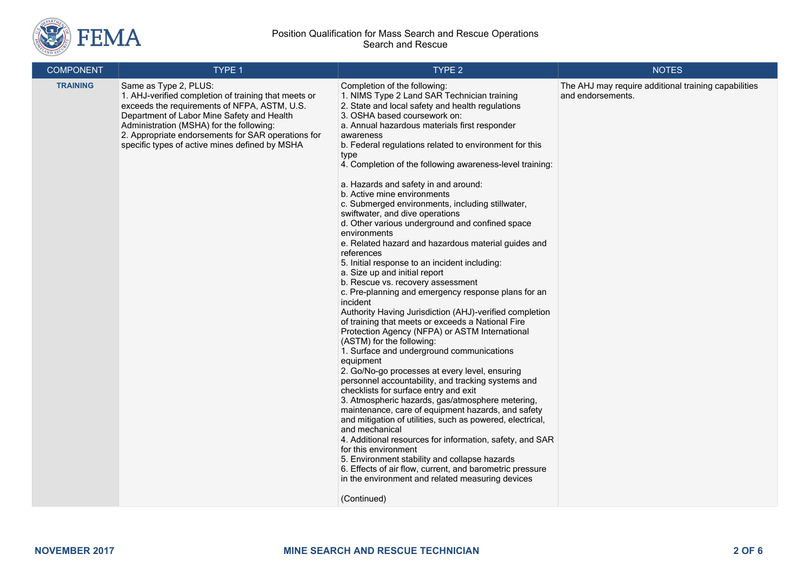

| <b>COMPONENT</b> | TYPE 1                                                                                                                                                                                                                                                                                                                          | TYPE 2                                                                                                                                                                                                                                                                                                                                                                                                                                                                                                                                                                                                                                                                                                                                                                                                                                                                                                                                                                                                                                                                                                                                                                                                                                                                                                                                                                                                                                                                                                                                                                                                                                                                                                                             | <b>NOTES</b>                                                              |
|------------------|---------------------------------------------------------------------------------------------------------------------------------------------------------------------------------------------------------------------------------------------------------------------------------------------------------------------------------|------------------------------------------------------------------------------------------------------------------------------------------------------------------------------------------------------------------------------------------------------------------------------------------------------------------------------------------------------------------------------------------------------------------------------------------------------------------------------------------------------------------------------------------------------------------------------------------------------------------------------------------------------------------------------------------------------------------------------------------------------------------------------------------------------------------------------------------------------------------------------------------------------------------------------------------------------------------------------------------------------------------------------------------------------------------------------------------------------------------------------------------------------------------------------------------------------------------------------------------------------------------------------------------------------------------------------------------------------------------------------------------------------------------------------------------------------------------------------------------------------------------------------------------------------------------------------------------------------------------------------------------------------------------------------------------------------------------------------------|---------------------------------------------------------------------------|
| <b>TRAINING</b>  | Same as Type 2, PLUS:<br>1. AHJ-verified completion of training that meets or<br>exceeds the requirements of NFPA, ASTM, U.S.<br>Department of Labor Mine Safety and Health<br>Administration (MSHA) for the following:<br>2. Appropriate endorsements for SAR operations for<br>specific types of active mines defined by MSHA | Completion of the following:<br>1. NIMS Type 2 Land SAR Technician training<br>2. State and local safety and health regulations<br>3. OSHA based coursework on:<br>a. Annual hazardous materials first responder<br>awareness<br>b. Federal regulations related to environment for this<br>type<br>4. Completion of the following awareness-level training:<br>a. Hazards and safety in and around:<br>b. Active mine environments<br>c. Submerged environments, including stillwater,<br>swiftwater, and dive operations<br>d. Other various underground and confined space<br>environments<br>e. Related hazard and hazardous material guides and<br>references<br>5. Initial response to an incident including:<br>a. Size up and initial report<br>b. Rescue vs. recovery assessment<br>c. Pre-planning and emergency response plans for an<br>incident<br>Authority Having Jurisdiction (AHJ)-verified completion<br>of training that meets or exceeds a National Fire<br>Protection Agency (NFPA) or ASTM International<br>(ASTM) for the following:<br>1. Surface and underground communications<br>equipment<br>2. Go/No-go processes at every level, ensuring<br>personnel accountability, and tracking systems and<br>checklists for surface entry and exit<br>3. Atmospheric hazards, gas/atmosphere metering,<br>maintenance, care of equipment hazards, and safety<br>and mitigation of utilities, such as powered, electrical,<br>and mechanical<br>4. Additional resources for information, safety, and SAR<br>for this environment<br>5. Environment stability and collapse hazards<br>6. Effects of air flow, current, and barometric pressure<br>in the environment and related measuring devices<br>(Continued) | The AHJ may require additional training capabilities<br>and endorsements. |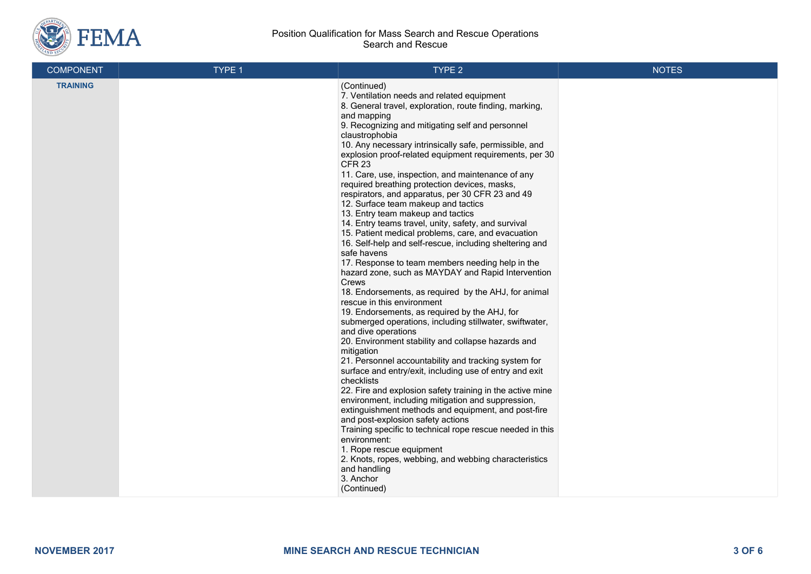

| <b>COMPONENT</b> | TYPE 1 | TYPE 2                                                                                                                                                                                                                                                                                                                                                                                                                                                                                                                                                                                                                                                                                                                                                                                                                                                                                                                                                                                                                                                                                                                                                                                                                                                                                                                                                                                                                                                                                                                                                                                                                                                                                                                                                        | <b>NOTES</b> |
|------------------|--------|---------------------------------------------------------------------------------------------------------------------------------------------------------------------------------------------------------------------------------------------------------------------------------------------------------------------------------------------------------------------------------------------------------------------------------------------------------------------------------------------------------------------------------------------------------------------------------------------------------------------------------------------------------------------------------------------------------------------------------------------------------------------------------------------------------------------------------------------------------------------------------------------------------------------------------------------------------------------------------------------------------------------------------------------------------------------------------------------------------------------------------------------------------------------------------------------------------------------------------------------------------------------------------------------------------------------------------------------------------------------------------------------------------------------------------------------------------------------------------------------------------------------------------------------------------------------------------------------------------------------------------------------------------------------------------------------------------------------------------------------------------------|--------------|
| <b>TRAINING</b>  |        | (Continued)<br>7. Ventilation needs and related equipment<br>8. General travel, exploration, route finding, marking,<br>and mapping<br>9. Recognizing and mitigating self and personnel<br>claustrophobia<br>10. Any necessary intrinsically safe, permissible, and<br>explosion proof-related equipment requirements, per 30<br>CFR <sub>23</sub><br>11. Care, use, inspection, and maintenance of any<br>required breathing protection devices, masks,<br>respirators, and apparatus, per 30 CFR 23 and 49<br>12. Surface team makeup and tactics<br>13. Entry team makeup and tactics<br>14. Entry teams travel, unity, safety, and survival<br>15. Patient medical problems, care, and evacuation<br>16. Self-help and self-rescue, including sheltering and<br>safe havens<br>17. Response to team members needing help in the<br>hazard zone, such as MAYDAY and Rapid Intervention<br>Crews<br>18. Endorsements, as required by the AHJ, for animal<br>rescue in this environment<br>19. Endorsements, as required by the AHJ, for<br>submerged operations, including stillwater, swiftwater,<br>and dive operations<br>20. Environment stability and collapse hazards and<br>mitigation<br>21. Personnel accountability and tracking system for<br>surface and entry/exit, including use of entry and exit<br>checklists<br>22. Fire and explosion safety training in the active mine<br>environment, including mitigation and suppression,<br>extinguishment methods and equipment, and post-fire<br>and post-explosion safety actions<br>Training specific to technical rope rescue needed in this<br>environment:<br>1. Rope rescue equipment<br>2. Knots, ropes, webbing, and webbing characteristics<br>and handling<br>3. Anchor<br>(Continued) |              |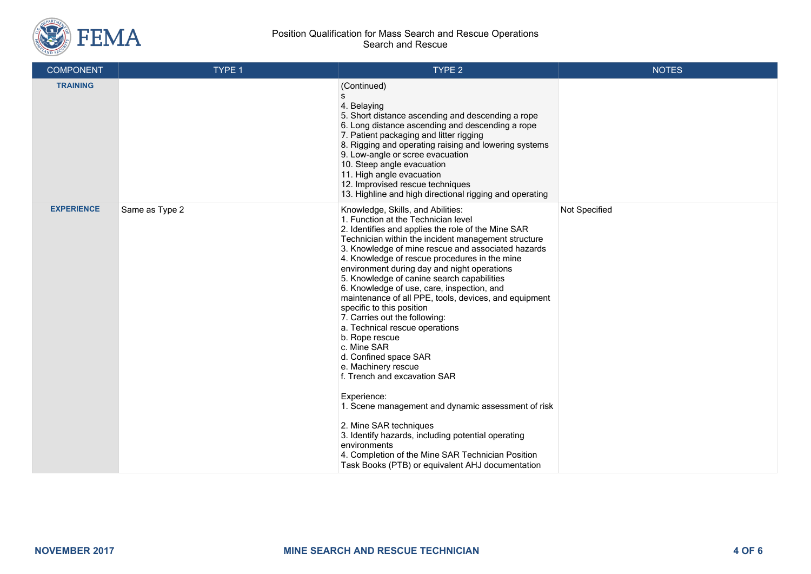

| <b>COMPONENT</b>  | TYPE 1         | TYPE 2                                                                                                                                                                                                                                                                                                                                                                                                                                                                                                                                                                                                                                                                                                                                                                                                                                                                                                                                                                                          | <b>NOTES</b>  |
|-------------------|----------------|-------------------------------------------------------------------------------------------------------------------------------------------------------------------------------------------------------------------------------------------------------------------------------------------------------------------------------------------------------------------------------------------------------------------------------------------------------------------------------------------------------------------------------------------------------------------------------------------------------------------------------------------------------------------------------------------------------------------------------------------------------------------------------------------------------------------------------------------------------------------------------------------------------------------------------------------------------------------------------------------------|---------------|
| <b>TRAINING</b>   |                | (Continued)<br>s<br>4. Belaying<br>5. Short distance ascending and descending a rope<br>6. Long distance ascending and descending a rope<br>7. Patient packaging and litter rigging<br>8. Rigging and operating raising and lowering systems<br>9. Low-angle or scree evacuation<br>10. Steep angle evacuation<br>11. High angle evacuation<br>12. Improvised rescue techniques<br>13. Highline and high directional rigging and operating                                                                                                                                                                                                                                                                                                                                                                                                                                                                                                                                                      |               |
| <b>EXPERIENCE</b> | Same as Type 2 | Knowledge, Skills, and Abilities:<br>1. Function at the Technician level<br>2. Identifies and applies the role of the Mine SAR<br>Technician within the incident management structure<br>3. Knowledge of mine rescue and associated hazards<br>4. Knowledge of rescue procedures in the mine<br>environment during day and night operations<br>5. Knowledge of canine search capabilities<br>6. Knowledge of use, care, inspection, and<br>maintenance of all PPE, tools, devices, and equipment<br>specific to this position<br>7. Carries out the following:<br>a. Technical rescue operations<br>b. Rope rescue<br>c. Mine SAR<br>d. Confined space SAR<br>e. Machinery rescue<br>f. Trench and excavation SAR<br>Experience:<br>1. Scene management and dynamic assessment of risk<br>2. Mine SAR techniques<br>3. Identify hazards, including potential operating<br>environments<br>4. Completion of the Mine SAR Technician Position<br>Task Books (PTB) or equivalent AHJ documentation | Not Specified |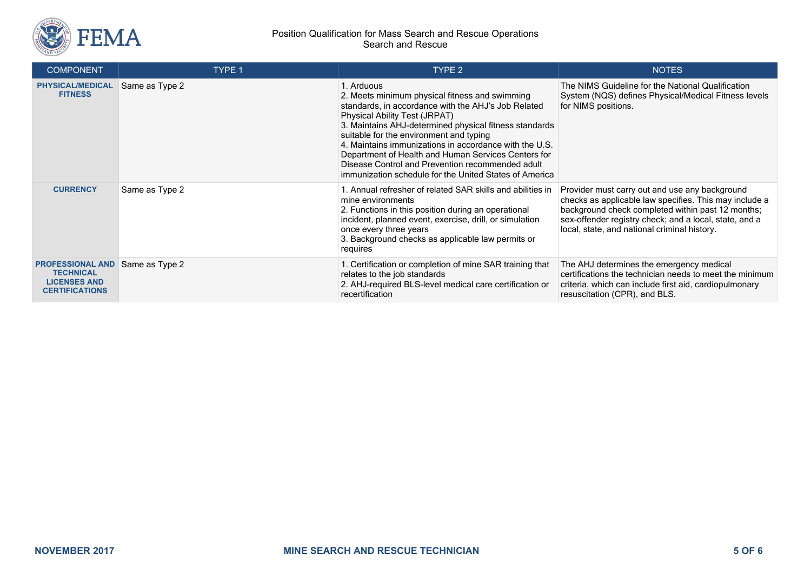

| <b>COMPONENT</b>                                                                            | TYPE 1         | TYPE 2                                                                                                                                                                                                                                                                                                                                                                                                                                                                                          | <b>NOTES</b>                                                                                                                                                                                                                                                            |
|---------------------------------------------------------------------------------------------|----------------|-------------------------------------------------------------------------------------------------------------------------------------------------------------------------------------------------------------------------------------------------------------------------------------------------------------------------------------------------------------------------------------------------------------------------------------------------------------------------------------------------|-------------------------------------------------------------------------------------------------------------------------------------------------------------------------------------------------------------------------------------------------------------------------|
| <b>PHYSICAL/MEDICAL</b><br><b>FITNESS</b>                                                   | Same as Type 2 | 1. Arduous<br>2. Meets minimum physical fitness and swimming<br>standards, in accordance with the AHJ's Job Related<br><b>Physical Ability Test (JRPAT)</b><br>3. Maintains AHJ-determined physical fitness standards<br>suitable for the environment and typing<br>4. Maintains immunizations in accordance with the U.S.<br>Department of Health and Human Services Centers for<br>Disease Control and Prevention recommended adult<br>immunization schedule for the United States of America | The NIMS Guideline for the National Qualification<br>System (NQS) defines Physical/Medical Fitness levels<br>for NIMS positions.                                                                                                                                        |
| <b>CURRENCY</b>                                                                             | Same as Type 2 | 1. Annual refresher of related SAR skills and abilities in<br>mine environments<br>2. Functions in this position during an operational<br>incident, planned event, exercise, drill, or simulation<br>once every three years<br>3. Background checks as applicable law permits or<br>requires                                                                                                                                                                                                    | Provider must carry out and use any background<br>checks as applicable law specifies. This may include a<br>background check completed within past 12 months;<br>sex-offender registry check; and a local, state, and a<br>local, state, and national criminal history. |
| <b>PROFESSIONAL AND</b><br><b>TECHNICAL</b><br><b>LICENSES AND</b><br><b>CERTIFICATIONS</b> | Same as Type 2 | 1. Certification or completion of mine SAR training that<br>relates to the job standards<br>2. AHJ-required BLS-level medical care certification or<br>recertification                                                                                                                                                                                                                                                                                                                          | The AHJ determines the emergency medical<br>certifications the technician needs to meet the minimum<br>criteria, which can include first aid, cardiopulmonary<br>resuscitation (CPR), and BLS.                                                                          |